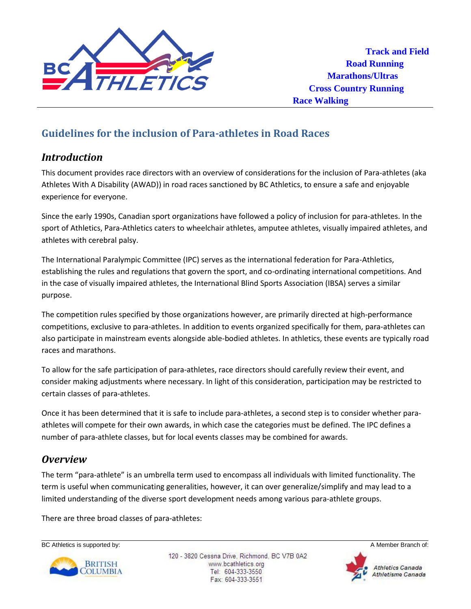

# *Introduction*

This document provides race directors with an overview of considerations for the inclusion of Para-athletes (aka Athletes With A Disability (AWAD)) in road races sanctioned by BC Athletics, to ensure a safe and enjoyable experience for everyone.

Since the early 1990s, Canadian sport organizations have followed a policy of inclusion for para-athletes. In the sport of Athletics, Para-Athletics caters to wheelchair athletes, amputee athletes, visually impaired athletes, and athletes with cerebral palsy.

The International Paralympic Committee (IPC) serves as the international federation for Para-Athletics, establishing the rules and regulations that govern the sport, and co-ordinating international competitions. And in the case of visually impaired athletes, the International Blind Sports Association (IBSA) serves a similar purpose.

The competition rules specified by those organizations however, are primarily directed at high-performance competitions, exclusive to para-athletes. In addition to events organized specifically for them, para-athletes can also participate in mainstream events alongside able-bodied athletes. In athletics, these events are typically road races and marathons.

To allow for the safe participation of para-athletes, race directors should carefully review their event, and consider making adjustments where necessary. In light of this consideration, participation may be restricted to certain classes of para-athletes.

Once it has been determined that it is safe to include para-athletes, a second step is to consider whether paraathletes will compete for their own awards, in which case the categories must be defined. The IPC defines a number of para-athlete classes, but for local events classes may be combined for awards.

## *Overview*

The term "para-athlete" is an umbrella term used to encompass all individuals with limited functionality. The term is useful when communicating generalities, however, it can over generalize/simplify and may lead to a limited understanding of the diverse sport development needs among various para-athlete groups.

There are three broad classes of para-athletes:





120 - 3820 Cessna Drive, Richmond, BC V7B 0A2 www.bcathletics.org Tel: 604-333-3550 Fax: 604-333-3551

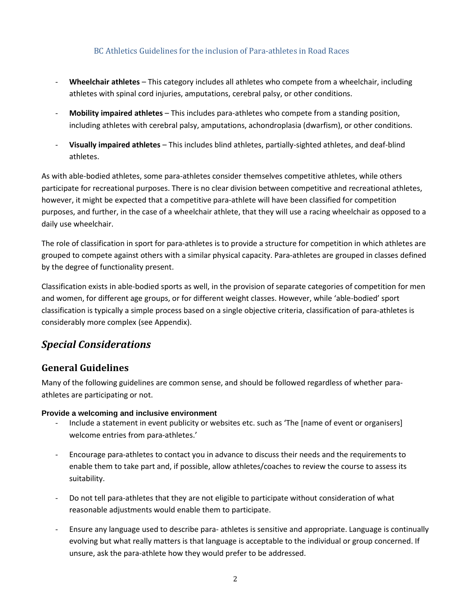- **Wheelchair athletes** This category includes all athletes who compete from a wheelchair, including athletes with spinal cord injuries, amputations, cerebral palsy, or other conditions.
- **Mobility impaired athletes** This includes para-athletes who compete from a standing position, including athletes with cerebral palsy, amputations, achondroplasia (dwarfism), or other conditions.
- **Visually impaired athletes** This includes blind athletes, partially-sighted athletes, and deaf-blind athletes.

As with able-bodied athletes, some para-athletes consider themselves competitive athletes, while others participate for recreational purposes. There is no clear division between competitive and recreational athletes, however, it might be expected that a competitive para-athlete will have been classified for competition purposes, and further, in the case of a wheelchair athlete, that they will use a racing wheelchair as opposed to a daily use wheelchair.

The role of classification in sport for para-athletes is to provide a structure for competition in which athletes are grouped to compete against others with a similar physical capacity. Para-athletes are grouped in classes defined by the degree of functionality present.

Classification exists in able-bodied sports as well, in the provision of separate categories of competition for men and women, for different age groups, or for different weight classes. However, while 'able-bodied' sport classification is typically a simple process based on a single objective criteria, classification of para-athletes is considerably more complex (see Appendix).

## *Special Considerations*

## **General Guidelines**

Many of the following guidelines are common sense, and should be followed regardless of whether paraathletes are participating or not.

### **Provide a welcoming and inclusive environment**

- Include a statement in event publicity or websites etc. such as 'The [name of event or organisers] welcome entries from para-athletes.'
- Encourage para-athletes to contact you in advance to discuss their needs and the requirements to enable them to take part and, if possible, allow athletes/coaches to review the course to assess its suitability.
- Do not tell para-athletes that they are not eligible to participate without consideration of what reasonable adjustments would enable them to participate.
- Ensure any language used to describe para- athletes is sensitive and appropriate. Language is continually evolving but what really matters is that language is acceptable to the individual or group concerned. If unsure, ask the para-athlete how they would prefer to be addressed.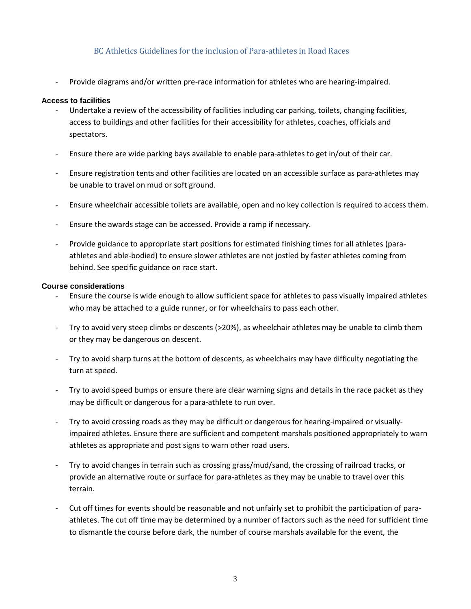Provide diagrams and/or written pre-race information for athletes who are hearing-impaired.

#### **Access to facilities**

- Undertake a review of the accessibility of facilities including car parking, toilets, changing facilities, access to buildings and other facilities for their accessibility for athletes, coaches, officials and spectators.
- Ensure there are wide parking bays available to enable para-athletes to get in/out of their car.
- Ensure registration tents and other facilities are located on an accessible surface as para-athletes may be unable to travel on mud or soft ground.
- Ensure wheelchair accessible toilets are available, open and no key collection is required to access them.
- Ensure the awards stage can be accessed. Provide a ramp if necessary.
- Provide guidance to appropriate start positions for estimated finishing times for all athletes (paraathletes and able-bodied) to ensure slower athletes are not jostled by faster athletes coming from behind. See specific guidance on race start.

#### **Course considerations**

- Ensure the course is wide enough to allow sufficient space for athletes to pass visually impaired athletes who may be attached to a guide runner, or for wheelchairs to pass each other.
- Try to avoid very steep climbs or descents (>20%), as wheelchair athletes may be unable to climb them or they may be dangerous on descent.
- Try to avoid sharp turns at the bottom of descents, as wheelchairs may have difficulty negotiating the turn at speed.
- Try to avoid speed bumps or ensure there are clear warning signs and details in the race packet as they may be difficult or dangerous for a para-athlete to run over.
- Try to avoid crossing roads as they may be difficult or dangerous for hearing-impaired or visuallyimpaired athletes. Ensure there are sufficient and competent marshals positioned appropriately to warn athletes as appropriate and post signs to warn other road users.
- Try to avoid changes in terrain such as crossing grass/mud/sand, the crossing of railroad tracks, or provide an alternative route or surface for para-athletes as they may be unable to travel over this terrain.
- Cut off times for events should be reasonable and not unfairly set to prohibit the participation of paraathletes. The cut off time may be determined by a number of factors such as the need for sufficient time to dismantle the course before dark, the number of course marshals available for the event, the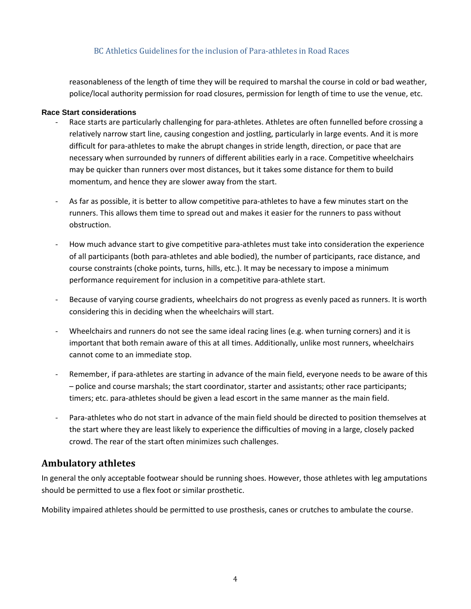reasonableness of the length of time they will be required to marshal the course in cold or bad weather, police/local authority permission for road closures, permission for length of time to use the venue, etc.

#### **Race Start considerations**

- Race starts are particularly challenging for para-athletes. Athletes are often funnelled before crossing a relatively narrow start line, causing congestion and jostling, particularly in large events. And it is more difficult for para-athletes to make the abrupt changes in stride length, direction, or pace that are necessary when surrounded by runners of different abilities early in a race. Competitive wheelchairs may be quicker than runners over most distances, but it takes some distance for them to build momentum, and hence they are slower away from the start.
- As far as possible, it is better to allow competitive para-athletes to have a few minutes start on the runners. This allows them time to spread out and makes it easier for the runners to pass without obstruction.
- How much advance start to give competitive para-athletes must take into consideration the experience of all participants (both para-athletes and able bodied), the number of participants, race distance, and course constraints (choke points, turns, hills, etc.). It may be necessary to impose a minimum performance requirement for inclusion in a competitive para-athlete start.
- Because of varying course gradients, wheelchairs do not progress as evenly paced as runners. It is worth considering this in deciding when the wheelchairs will start.
- Wheelchairs and runners do not see the same ideal racing lines (e.g. when turning corners) and it is important that both remain aware of this at all times. Additionally, unlike most runners, wheelchairs cannot come to an immediate stop.
- Remember, if para-athletes are starting in advance of the main field, everyone needs to be aware of this – police and course marshals; the start coordinator, starter and assistants; other race participants; timers; etc. para-athletes should be given a lead escort in the same manner as the main field.
- Para-athletes who do not start in advance of the main field should be directed to position themselves at the start where they are least likely to experience the difficulties of moving in a large, closely packed crowd. The rear of the start often minimizes such challenges.

### **Ambulatory athletes**

In general the only acceptable footwear should be running shoes. However, those athletes with leg amputations should be permitted to use a flex foot or similar prosthetic.

Mobility impaired athletes should be permitted to use prosthesis, canes or crutches to ambulate the course.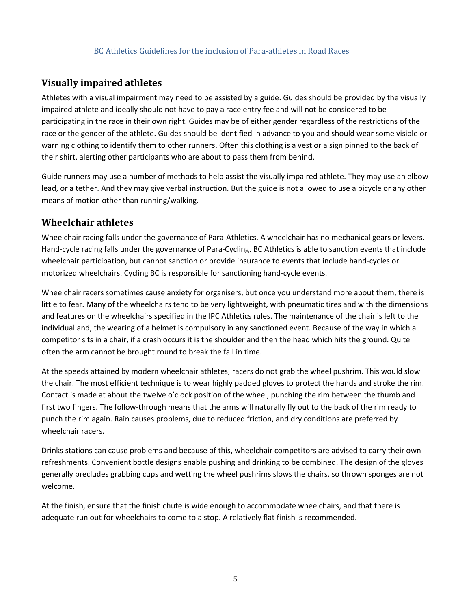### **Visually impaired athletes**

Athletes with a visual impairment may need to be assisted by a guide. Guides should be provided by the visually impaired athlete and ideally should not have to pay a race entry fee and will not be considered to be participating in the race in their own right. Guides may be of either gender regardless of the restrictions of the race or the gender of the athlete. Guides should be identified in advance to you and should wear some visible or warning clothing to identify them to other runners. Often this clothing is a vest or a sign pinned to the back of their shirt, alerting other participants who are about to pass them from behind.

Guide runners may use a number of methods to help assist the visually impaired athlete. They may use an elbow lead, or a tether. And they may give verbal instruction. But the guide is not allowed to use a bicycle or any other means of motion other than running/walking.

### **Wheelchair athletes**

Wheelchair racing falls under the governance of Para-Athletics. A wheelchair has no mechanical gears or levers. Hand-cycle racing falls under the governance of Para-Cycling. BC Athletics is able to sanction events that include wheelchair participation, but cannot sanction or provide insurance to events that include hand-cycles or motorized wheelchairs. Cycling BC is responsible for sanctioning hand-cycle events.

Wheelchair racers sometimes cause anxiety for organisers, but once you understand more about them, there is little to fear. Many of the wheelchairs tend to be very lightweight, with pneumatic tires and with the dimensions and features on the wheelchairs specified in the IPC Athletics rules. The maintenance of the chair is left to the individual and, the wearing of a helmet is compulsory in any sanctioned event. Because of the way in which a competitor sits in a chair, if a crash occurs it is the shoulder and then the head which hits the ground. Quite often the arm cannot be brought round to break the fall in time.

At the speeds attained by modern wheelchair athletes, racers do not grab the wheel pushrim. This would slow the chair. The most efficient technique is to wear highly padded gloves to protect the hands and stroke the rim. Contact is made at about the twelve o'clock position of the wheel, punching the rim between the thumb and first two fingers. The follow-through means that the arms will naturally fly out to the back of the rim ready to punch the rim again. Rain causes problems, due to reduced friction, and dry conditions are preferred by wheelchair racers.

Drinks stations can cause problems and because of this, wheelchair competitors are advised to carry their own refreshments. Convenient bottle designs enable pushing and drinking to be combined. The design of the gloves generally precludes grabbing cups and wetting the wheel pushrims slows the chairs, so thrown sponges are not welcome.

At the finish, ensure that the finish chute is wide enough to accommodate wheelchairs, and that there is adequate run out for wheelchairs to come to a stop. A relatively flat finish is recommended.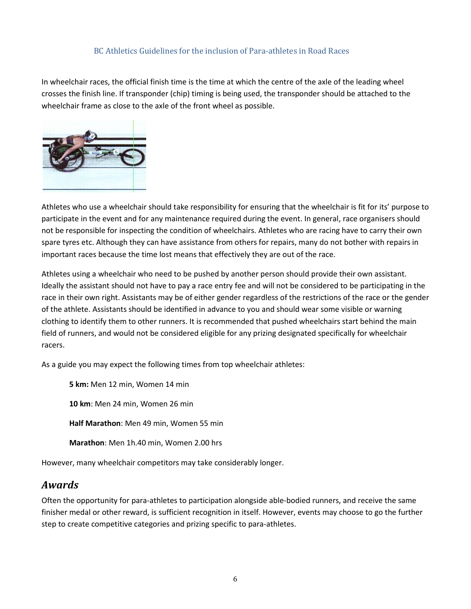In wheelchair races, the official finish time is the time at which the centre of the axle of the leading wheel crosses the finish line. If transponder (chip) timing is being used, the transponder should be attached to the wheelchair frame as close to the axle of the front wheel as possible.



Athletes who use a wheelchair should take responsibility for ensuring that the wheelchair is fit for its' purpose to participate in the event and for any maintenance required during the event. In general, race organisers should not be responsible for inspecting the condition of wheelchairs. Athletes who are racing have to carry their own spare tyres etc. Although they can have assistance from others for repairs, many do not bother with repairs in important races because the time lost means that effectively they are out of the race.

Athletes using a wheelchair who need to be pushed by another person should provide their own assistant. Ideally the assistant should not have to pay a race entry fee and will not be considered to be participating in the race in their own right. Assistants may be of either gender regardless of the restrictions of the race or the gender of the athlete. Assistants should be identified in advance to you and should wear some visible or warning clothing to identify them to other runners. It is recommended that pushed wheelchairs start behind the main field of runners, and would not be considered eligible for any prizing designated specifically for wheelchair racers.

As a guide you may expect the following times from top wheelchair athletes:

**5 km:** Men 12 min, Women 14 min **10 km**: Men 24 min, Women 26 min **Half Marathon**: Men 49 min, Women 55 min **Marathon**: Men 1h.40 min, Women 2.00 hrs

However, many wheelchair competitors may take considerably longer.

## *Awards*

Often the opportunity for para-athletes to participation alongside able-bodied runners, and receive the same finisher medal or other reward, is sufficient recognition in itself. However, events may choose to go the further step to create competitive categories and prizing specific to para-athletes.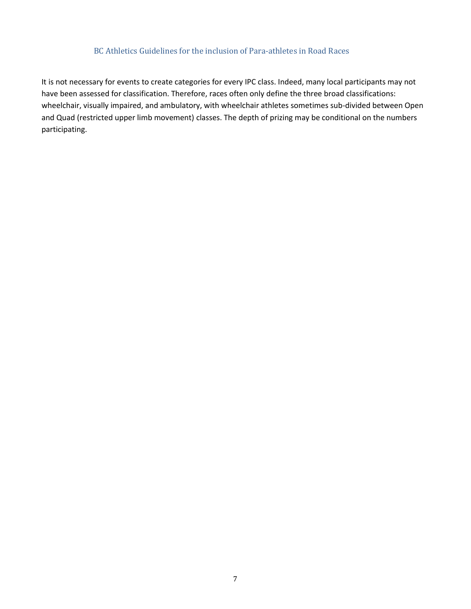It is not necessary for events to create categories for every IPC class. Indeed, many local participants may not have been assessed for classification. Therefore, races often only define the three broad classifications: wheelchair, visually impaired, and ambulatory, with wheelchair athletes sometimes sub-divided between Open and Quad (restricted upper limb movement) classes. The depth of prizing may be conditional on the numbers participating.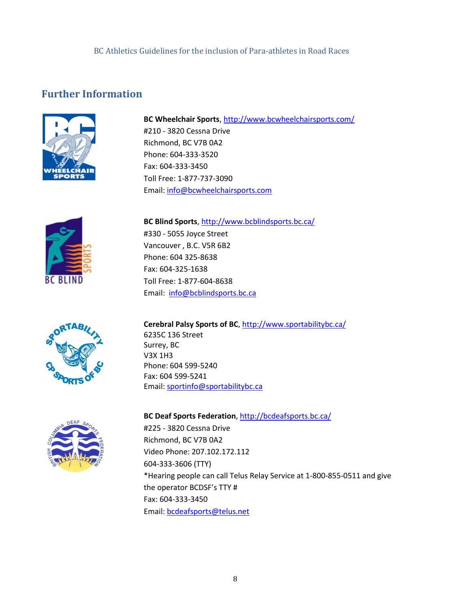# **Further Information**



**BC Wheelchair Sports**[, http://www.bcwheelchairsports.com/](http://www.bcwheelchairsports.com/) #210 - 3820 Cessna Drive Richmond, BC V7B 0A2 Phone: 604-333-3520 Fax: 604-333-3450 Toll Free: 1-877-737-3090 Email: [info@bcwheelchairsports.com](mailto:info@bcwheelchairsports.com)



**BC Blind Sports**[, http://www.bcblindsports.bc.ca/](http://www.bcblindsports.bc.ca/) #330 - 5055 Joyce Street Vancouver , B.C. V5R 6B2 Phone: 604 325-8638 Fax: 604-325-1638 Toll Free: 1-877-604-8638 Email: [info@bcblindsports.bc.ca](mailto:info@bcblindsports.bc.ca?subject=Web%20enquiry)



**Cerebral Palsy Sports of BC**,<http://www.sportabilitybc.ca/> 6235C 136 Street Surrey, BC V3X 1H3 Phone: 604 599-5240 Fax: 604 599-5241 Email: [sportinfo@sportabilitybc.ca](mailto:sportinfo@sportabilitybc.ca)

**BC Deaf Sports Federation**,<http://bcdeafsports.bc.ca/>

#225 - 3820 Cessna Drive Richmond, BC V7B 0A2 Video Phone: 207.102.172.112 604-333-3606 (TTY) \*Hearing people can call Telus Relay Service at 1-800-855-0511 and give the operator BCDSF's TTY # Fax: 604-333-3450 Email: [bcdeafsports@telus.net](mailto:bcdeafsports@telus.net)

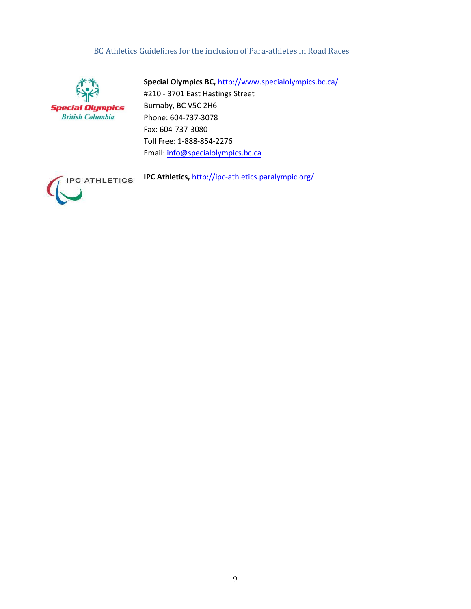

**Special Olympics BC,** <http://www.specialolympics.bc.ca/> #210 - 3701 East Hastings Street Burnaby, BC V5C 2H6 Phone: 604-737-3078 Fax: 604-737-3080 Toll Free: 1-888-854-2276 Email: [info@specialolympics.bc.ca](mailto:info@specialolympics.bc.ca)



**IPC Athletics,** <http://ipc-athletics.paralympic.org/>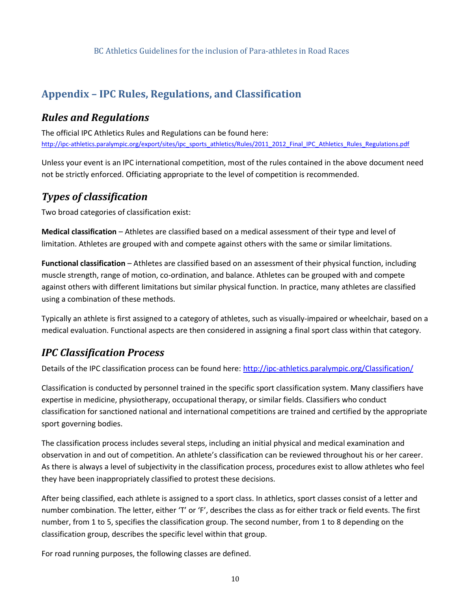# **Appendix – IPC Rules, Regulations, and Classification**

# *Rules and Regulations*

The official IPC Athletics Rules and Regulations can be found here: [http://ipc-athletics.paralympic.org/export/sites/ipc\\_sports\\_athletics/Rules/2011\\_2012\\_Final\\_IPC\\_Athletics\\_Rules\\_Regulations.pdf](http://ipc-athletics.paralympic.org/export/sites/ipc_sports_athletics/Rules/2011_2012_Final_IPC_Athletics_Rules_Regulations.pdf)

Unless your event is an IPC international competition, most of the rules contained in the above document need not be strictly enforced. Officiating appropriate to the level of competition is recommended.

## *Types of classification*

Two broad categories of classification exist:

**Medical classification** – Athletes are classified based on a medical assessment of their type and level of limitation. Athletes are grouped with and compete against others with the same or similar limitations.

**Functional classification** – Athletes are classified based on an assessment of their physical function, including muscle strength, range of motion, co-ordination, and balance. Athletes can be grouped with and compete against others with different limitations but similar physical function. In practice, many athletes are classified using a combination of these methods.

Typically an athlete is first assigned to a category of athletes, such as visually-impaired or wheelchair, based on a medical evaluation. Functional aspects are then considered in assigning a final sport class within that category.

# *IPC Classification Process*

Details of the IPC classification process can be found here:<http://ipc-athletics.paralympic.org/Classification/>

Classification is conducted by personnel trained in the specific sport classification system. Many classifiers have expertise in medicine, physiotherapy, occupational therapy, or similar fields. Classifiers who conduct classification for sanctioned national and international competitions are trained and certified by the appropriate sport governing bodies.

The classification process includes several steps, including an initial physical and medical examination and observation in and out of competition. An athlete's classification can be reviewed throughout his or her career. As there is always a level of subjectivity in the classification process, procedures exist to allow athletes who feel they have been inappropriately classified to protest these decisions.

After being classified, each athlete is assigned to a sport class. In athletics, sport classes consist of a letter and number combination. The letter, either 'T' or 'F', describes the class as for either track or field events. The first number, from 1 to 5, specifies the classification group. The second number, from 1 to 8 depending on the classification group, describes the specific level within that group.

For road running purposes, the following classes are defined.